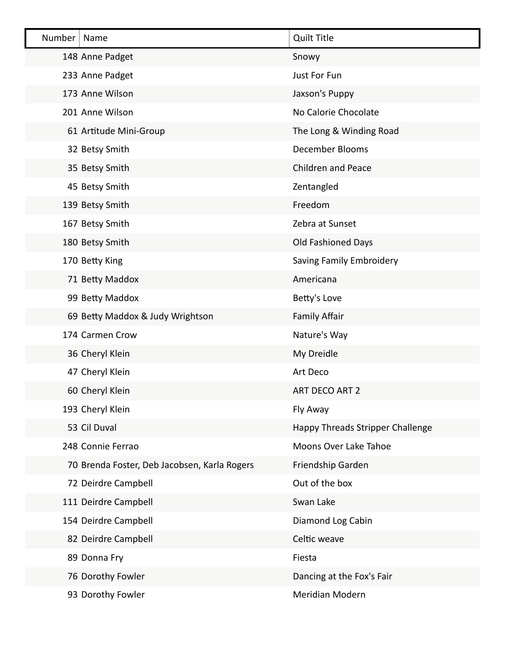| Number | Name                                         | <b>Quilt Title</b>               |
|--------|----------------------------------------------|----------------------------------|
|        | 148 Anne Padget                              | Snowy                            |
|        | 233 Anne Padget                              | Just For Fun                     |
|        | 173 Anne Wilson                              | Jaxson's Puppy                   |
|        | 201 Anne Wilson                              | No Calorie Chocolate             |
|        | 61 Artitude Mini-Group                       | The Long & Winding Road          |
|        | 32 Betsy Smith                               | December Blooms                  |
|        | 35 Betsy Smith                               | <b>Children and Peace</b>        |
|        | 45 Betsy Smith                               | Zentangled                       |
|        | 139 Betsy Smith                              | Freedom                          |
|        | 167 Betsy Smith                              | Zebra at Sunset                  |
|        | 180 Betsy Smith                              | <b>Old Fashioned Days</b>        |
|        | 170 Betty King                               | Saving Family Embroidery         |
|        | 71 Betty Maddox                              | Americana                        |
|        | 99 Betty Maddox                              | Betty's Love                     |
|        | 69 Betty Maddox & Judy Wrightson             | <b>Family Affair</b>             |
|        | 174 Carmen Crow                              | Nature's Way                     |
|        | 36 Cheryl Klein                              | My Dreidle                       |
|        | 47 Cheryl Klein                              | Art Deco                         |
|        | 60 Cheryl Klein                              | ART DECO ART 2                   |
|        | 193 Cheryl Klein                             | Fly Away                         |
|        | 53 Cil Duval                                 | Happy Threads Stripper Challenge |
|        | 248 Connie Ferrao                            | Moons Over Lake Tahoe            |
|        | 70 Brenda Foster, Deb Jacobsen, Karla Rogers | Friendship Garden                |
|        | 72 Deirdre Campbell                          | Out of the box                   |
|        | 111 Deirdre Campbell                         | Swan Lake                        |
|        | 154 Deirdre Campbell                         | Diamond Log Cabin                |
|        | 82 Deirdre Campbell                          | Celtic weave                     |
|        | 89 Donna Fry                                 | Fiesta                           |
|        | 76 Dorothy Fowler                            | Dancing at the Fox's Fair        |
|        | 93 Dorothy Fowler                            | Meridian Modern                  |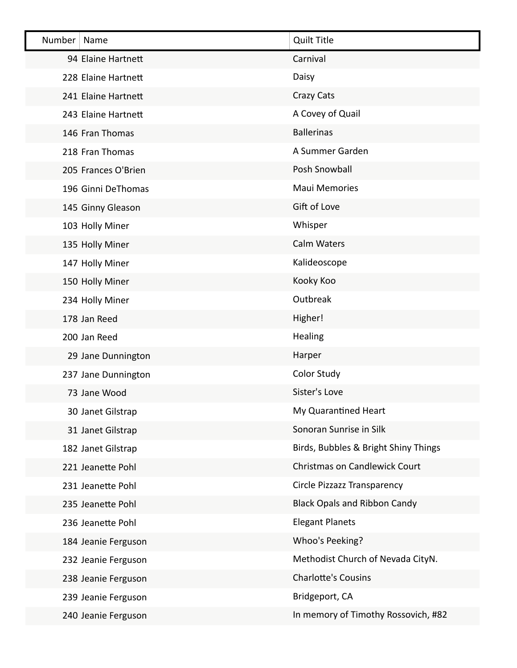| Number | Name                | <b>Quilt Title</b>                   |
|--------|---------------------|--------------------------------------|
|        | 94 Elaine Hartnett  | Carnival                             |
|        | 228 Elaine Hartnett | Daisy                                |
|        | 241 Elaine Hartnett | Crazy Cats                           |
|        | 243 Elaine Hartnett | A Covey of Quail                     |
|        | 146 Fran Thomas     | <b>Ballerinas</b>                    |
|        | 218 Fran Thomas     | A Summer Garden                      |
|        | 205 Frances O'Brien | Posh Snowball                        |
|        | 196 Ginni DeThomas  | <b>Maui Memories</b>                 |
|        | 145 Ginny Gleason   | Gift of Love                         |
|        | 103 Holly Miner     | Whisper                              |
|        | 135 Holly Miner     | <b>Calm Waters</b>                   |
|        | 147 Holly Miner     | Kalideoscope                         |
|        | 150 Holly Miner     | Kooky Koo                            |
|        | 234 Holly Miner     | Outbreak                             |
|        | 178 Jan Reed        | Higher!                              |
|        | 200 Jan Reed        | Healing                              |
|        | 29 Jane Dunnington  | Harper                               |
|        | 237 Jane Dunnington | <b>Color Study</b>                   |
|        | 73 Jane Wood        | Sister's Love                        |
|        | 30 Janet Gilstrap   | My Quarantined Heart                 |
|        | 31 Janet Gilstrap   | Sonoran Sunrise in Silk              |
|        | 182 Janet Gilstrap  | Birds, Bubbles & Bright Shiny Things |
|        | 221 Jeanette Pohl   | Christmas on Candlewick Court        |
|        | 231 Jeanette Pohl   | Circle Pizzazz Transparency          |
|        | 235 Jeanette Pohl   | <b>Black Opals and Ribbon Candy</b>  |
|        | 236 Jeanette Pohl   | <b>Elegant Planets</b>               |
|        | 184 Jeanie Ferguson | Whoo's Peeking?                      |
|        | 232 Jeanie Ferguson | Methodist Church of Nevada CityN.    |
|        | 238 Jeanie Ferguson | <b>Charlotte's Cousins</b>           |
|        | 239 Jeanie Ferguson | Bridgeport, CA                       |
|        | 240 Jeanie Ferguson | In memory of Timothy Rossovich, #82  |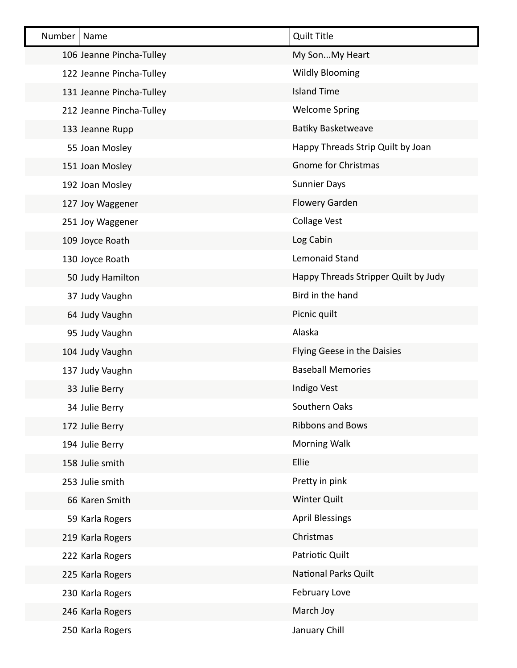| Number<br>Name           | <b>Quilt Title</b>                   |
|--------------------------|--------------------------------------|
| 106 Jeanne Pincha-Tulley | My SonMy Heart                       |
| 122 Jeanne Pincha-Tulley | <b>Wildly Blooming</b>               |
| 131 Jeanne Pincha-Tulley | <b>Island Time</b>                   |
| 212 Jeanne Pincha-Tulley | <b>Welcome Spring</b>                |
| 133 Jeanne Rupp          | <b>Batiky Basketweave</b>            |
| 55 Joan Mosley           | Happy Threads Strip Quilt by Joan    |
| 151 Joan Mosley          | <b>Gnome for Christmas</b>           |
| 192 Joan Mosley          | <b>Sunnier Days</b>                  |
| 127 Joy Waggener         | Flowery Garden                       |
| 251 Joy Waggener         | <b>Collage Vest</b>                  |
| 109 Joyce Roath          | Log Cabin                            |
| 130 Joyce Roath          | Lemonaid Stand                       |
| 50 Judy Hamilton         | Happy Threads Stripper Quilt by Judy |
| 37 Judy Vaughn           | Bird in the hand                     |
| 64 Judy Vaughn           | Picnic quilt                         |
| 95 Judy Vaughn           | Alaska                               |
| 104 Judy Vaughn          | Flying Geese in the Daisies          |
| 137 Judy Vaughn          | <b>Baseball Memories</b>             |
| 33 Julie Berry           | Indigo Vest                          |
| 34 Julie Berry           | Southern Oaks                        |
| 172 Julie Berry          | <b>Ribbons and Bows</b>              |
| 194 Julie Berry          | <b>Morning Walk</b>                  |
| 158 Julie smith          | Ellie                                |
| 253 Julie smith          | Pretty in pink                       |
| 66 Karen Smith           | <b>Winter Quilt</b>                  |
| 59 Karla Rogers          | <b>April Blessings</b>               |
| 219 Karla Rogers         | Christmas                            |
| 222 Karla Rogers         | Patriotic Quilt                      |
| 225 Karla Rogers         | National Parks Quilt                 |
| 230 Karla Rogers         | February Love                        |
| 246 Karla Rogers         | March Joy                            |
| 250 Karla Rogers         | January Chill                        |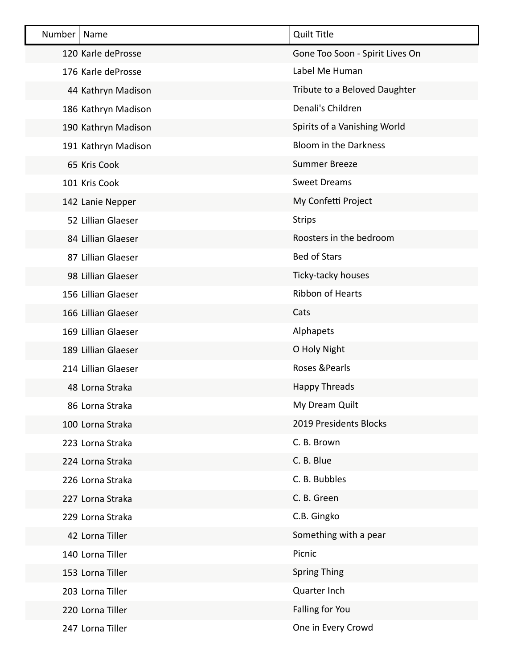| Number | Name                | <b>Quilt Title</b>              |
|--------|---------------------|---------------------------------|
|        | 120 Karle deProsse  | Gone Too Soon - Spirit Lives On |
|        | 176 Karle deProsse  | Label Me Human                  |
|        | 44 Kathryn Madison  | Tribute to a Beloved Daughter   |
|        | 186 Kathryn Madison | Denali's Children               |
|        | 190 Kathryn Madison | Spirits of a Vanishing World    |
|        | 191 Kathryn Madison | <b>Bloom in the Darkness</b>    |
|        | 65 Kris Cook        | <b>Summer Breeze</b>            |
|        | 101 Kris Cook       | <b>Sweet Dreams</b>             |
|        | 142 Lanie Nepper    | My Confetti Project             |
|        | 52 Lillian Glaeser  | <b>Strips</b>                   |
|        | 84 Lillian Glaeser  | Roosters in the bedroom         |
|        | 87 Lillian Glaeser  | <b>Bed of Stars</b>             |
|        | 98 Lillian Glaeser  | Ticky-tacky houses              |
|        | 156 Lillian Glaeser | <b>Ribbon of Hearts</b>         |
|        | 166 Lillian Glaeser | Cats                            |
|        | 169 Lillian Glaeser | Alphapets                       |
|        | 189 Lillian Glaeser | O Holy Night                    |
|        | 214 Lillian Glaeser | Roses & Pearls                  |
|        | 48 Lorna Straka     | <b>Happy Threads</b>            |
|        | 86 Lorna Straka     | My Dream Quilt                  |
|        | 100 Lorna Straka    | 2019 Presidents Blocks          |
|        | 223 Lorna Straka    | C. B. Brown                     |
|        | 224 Lorna Straka    | C. B. Blue                      |
|        | 226 Lorna Straka    | C. B. Bubbles                   |
|        | 227 Lorna Straka    | C. B. Green                     |
|        | 229 Lorna Straka    | C.B. Gingko                     |
|        | 42 Lorna Tiller     | Something with a pear           |
|        | 140 Lorna Tiller    | Picnic                          |
|        | 153 Lorna Tiller    | <b>Spring Thing</b>             |
|        | 203 Lorna Tiller    | Quarter Inch                    |
|        | 220 Lorna Tiller    | Falling for You                 |
|        | 247 Lorna Tiller    | One in Every Crowd              |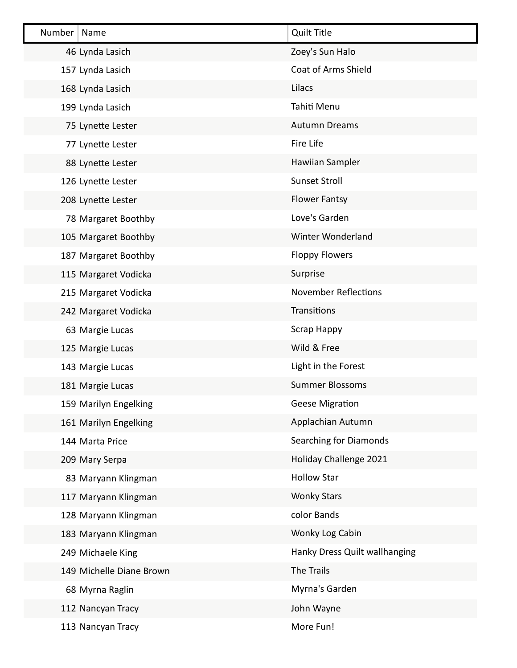| Number | Name                     | <b>Quilt Title</b>            |
|--------|--------------------------|-------------------------------|
|        | 46 Lynda Lasich          | Zoey's Sun Halo               |
|        | 157 Lynda Lasich         | <b>Coat of Arms Shield</b>    |
|        | 168 Lynda Lasich         | Lilacs                        |
|        | 199 Lynda Lasich         | Tahiti Menu                   |
|        | 75 Lynette Lester        | <b>Autumn Dreams</b>          |
|        | 77 Lynette Lester        | Fire Life                     |
|        | 88 Lynette Lester        | Hawiian Sampler               |
|        | 126 Lynette Lester       | <b>Sunset Stroll</b>          |
|        | 208 Lynette Lester       | <b>Flower Fantsy</b>          |
|        | 78 Margaret Boothby      | Love's Garden                 |
|        | 105 Margaret Boothby     | Winter Wonderland             |
|        | 187 Margaret Boothby     | <b>Floppy Flowers</b>         |
|        | 115 Margaret Vodicka     | Surprise                      |
|        | 215 Margaret Vodicka     | <b>November Reflections</b>   |
|        | 242 Margaret Vodicka     | Transitions                   |
|        | 63 Margie Lucas          | Scrap Happy                   |
|        | 125 Margie Lucas         | Wild & Free                   |
|        | 143 Margie Lucas         | Light in the Forest           |
|        | 181 Margie Lucas         | <b>Summer Blossoms</b>        |
|        | 159 Marilyn Engelking    | <b>Geese Migration</b>        |
|        | 161 Marilyn Engelking    | Applachian Autumn             |
|        | 144 Marta Price          | <b>Searching for Diamonds</b> |
|        | 209 Mary Serpa           | Holiday Challenge 2021        |
|        | 83 Maryann Klingman      | <b>Hollow Star</b>            |
|        | 117 Maryann Klingman     | <b>Wonky Stars</b>            |
|        | 128 Maryann Klingman     | color Bands                   |
|        | 183 Maryann Klingman     | Wonky Log Cabin               |
|        | 249 Michaele King        | Hanky Dress Quilt wallhanging |
|        | 149 Michelle Diane Brown | The Trails                    |
|        | 68 Myrna Raglin          | Myrna's Garden                |
|        | 112 Nancyan Tracy        | John Wayne                    |
|        | 113 Nancyan Tracy        | More Fun!                     |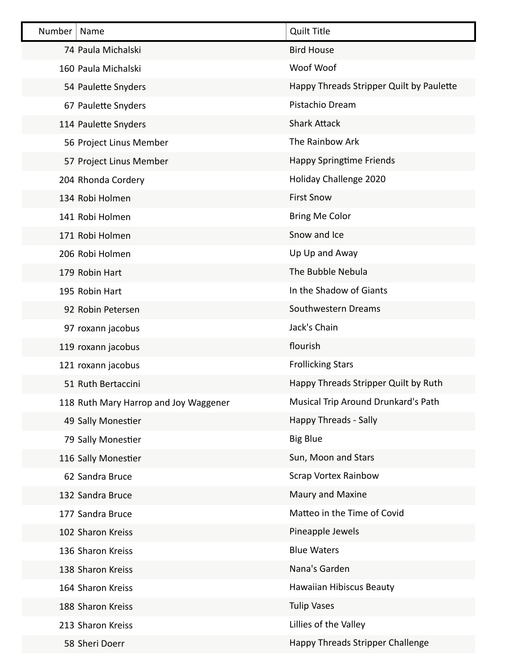| Number | Name                                  | <b>Quilt Title</b>                       |
|--------|---------------------------------------|------------------------------------------|
|        | 74 Paula Michalski                    | <b>Bird House</b>                        |
|        | 160 Paula Michalski                   | Woof Woof                                |
|        | 54 Paulette Snyders                   | Happy Threads Stripper Quilt by Paulette |
|        | 67 Paulette Snyders                   | Pistachio Dream                          |
|        | 114 Paulette Snyders                  | <b>Shark Attack</b>                      |
|        | 56 Project Linus Member               | The Rainbow Ark                          |
|        | 57 Project Linus Member               | <b>Happy Springtime Friends</b>          |
|        | 204 Rhonda Cordery                    | Holiday Challenge 2020                   |
|        | 134 Robi Holmen                       | <b>First Snow</b>                        |
|        | 141 Robi Holmen                       | <b>Bring Me Color</b>                    |
|        | 171 Robi Holmen                       | Snow and Ice                             |
|        | 206 Robi Holmen                       | Up Up and Away                           |
|        | 179 Robin Hart                        | The Bubble Nebula                        |
|        | 195 Robin Hart                        | In the Shadow of Giants                  |
|        | 92 Robin Petersen                     | Southwestern Dreams                      |
|        | 97 roxann jacobus                     | Jack's Chain                             |
|        | 119 roxann jacobus                    | flourish                                 |
|        | 121 roxann jacobus                    | <b>Frollicking Stars</b>                 |
|        | 51 Ruth Bertaccini                    | Happy Threads Stripper Quilt by Ruth     |
|        | 118 Ruth Mary Harrop and Joy Waggener | Musical Trip Around Drunkard's Path      |
|        | 49 Sally Monestier                    | Happy Threads - Sally                    |
|        | 79 Sally Monestier                    | <b>Big Blue</b>                          |
|        | 116 Sally Monestier                   | Sun, Moon and Stars                      |
|        | 62 Sandra Bruce                       | <b>Scrap Vortex Rainbow</b>              |
|        | 132 Sandra Bruce                      | Maury and Maxine                         |
|        | 177 Sandra Bruce                      | Matteo in the Time of Covid              |
|        | 102 Sharon Kreiss                     | Pineapple Jewels                         |
|        | 136 Sharon Kreiss                     | <b>Blue Waters</b>                       |
|        | 138 Sharon Kreiss                     | Nana's Garden                            |
|        | 164 Sharon Kreiss                     | <b>Hawaiian Hibiscus Beauty</b>          |
|        | 188 Sharon Kreiss                     | <b>Tulip Vases</b>                       |
|        | 213 Sharon Kreiss                     | Lillies of the Valley                    |
|        | 58 Sheri Doerr                        | Happy Threads Stripper Challenge         |